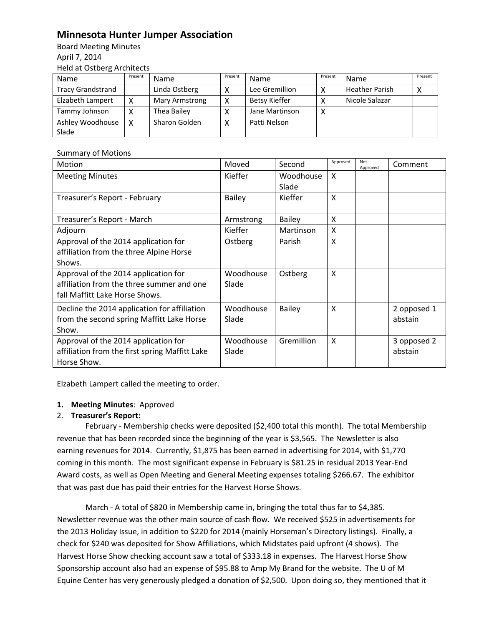## **Minnesota Hunter Jumper Association**

Board Meeting Minutes April 7, 2014 Held at Ostberg Architects

| Name                     | Present | <b>Name</b>           | Present | <b>Name</b>    | Present | Name                  | Present |
|--------------------------|---------|-----------------------|---------|----------------|---------|-----------------------|---------|
| <b>Tracy Grandstrand</b> |         | Linda Ostberg         |         | Lee Gremillion |         | <b>Heather Parish</b> |         |
| Elzabeth Lampert         |         | <b>Mary Armstrong</b> |         | Betsy Kieffer  |         | Nicole Salazar        |         |
| Tammy Johnson            |         | Thea Bailey           |         | Jane Martinson | Χ       |                       |         |
| Ashley Woodhouse         |         | Sharon Golden         |         | Patti Nelson   |         |                       |         |
| Slade                    |         |                       |         |                |         |                       |         |

## Summary of Motions

| Motion                                                                                                              | Moved              | Second             | Approved | Not<br>Approved | Comment                |
|---------------------------------------------------------------------------------------------------------------------|--------------------|--------------------|----------|-----------------|------------------------|
| <b>Meeting Minutes</b>                                                                                              | Kieffer            | Woodhouse<br>Slade | X        |                 |                        |
| Treasurer's Report - February                                                                                       | <b>Bailey</b>      | Kieffer            | X        |                 |                        |
| Treasurer's Report - March                                                                                          | Armstrong          | <b>Bailey</b>      | X        |                 |                        |
| Adjourn                                                                                                             | Kieffer            | Martinson          | X        |                 |                        |
| Approval of the 2014 application for<br>affiliation from the three Alpine Horse<br>Shows.                           | Ostberg            | Parish             | X        |                 |                        |
| Approval of the 2014 application for<br>affiliation from the three summer and one<br>fall Maffitt Lake Horse Shows. | Woodhouse<br>Slade | Ostberg            | X        |                 |                        |
| Decline the 2014 application for affiliation<br>from the second spring Maffitt Lake Horse<br>Show.                  | Woodhouse<br>Slade | <b>Bailey</b>      | X        |                 | 2 opposed 1<br>abstain |
| Approval of the 2014 application for<br>affiliation from the first spring Maffitt Lake<br>Horse Show.               | Woodhouse<br>Slade | Gremillion         | X        |                 | 3 opposed 2<br>abstain |

Elzabeth Lampert called the meeting to order.

## **1. Meeting Minutes**: Approved

## 2. **Treasurer's Report:**

February - Membership checks were deposited (\$2,400 total this month). The total Membership revenue that has been recorded since the beginning of the year is \$3,565. The Newsletter is also earning revenues for 2014. Currently, \$1,875 has been earned in advertising for 2014, with \$1,770 coming in this month. The most significant expense in February is \$81.25 in residual 2013 Year-End Award costs, as well as Open Meeting and General Meeting expenses totaling \$266.67. The exhibitor that was past due has paid their entries for the Harvest Horse Shows.

March - A total of \$820 in Membership came in, bringing the total thus far to \$4,385. Newsletter revenue was the other main source of cash flow. We received \$525 in advertisements for the 2013 Holiday Issue, in addition to \$220 for 2014 (mainly Horseman's Directory listings). Finally, a check for \$240 was deposited for Show Affiliations, which Midstates paid upfront (4 shows). The Harvest Horse Show checking account saw a total of \$333.18 in expenses. The Harvest Horse Show Sponsorship account also had an expense of \$95.88 to Amp My Brand for the website. The U of M Equine Center has very generously pledged a donation of \$2,500. Upon doing so, they mentioned that it